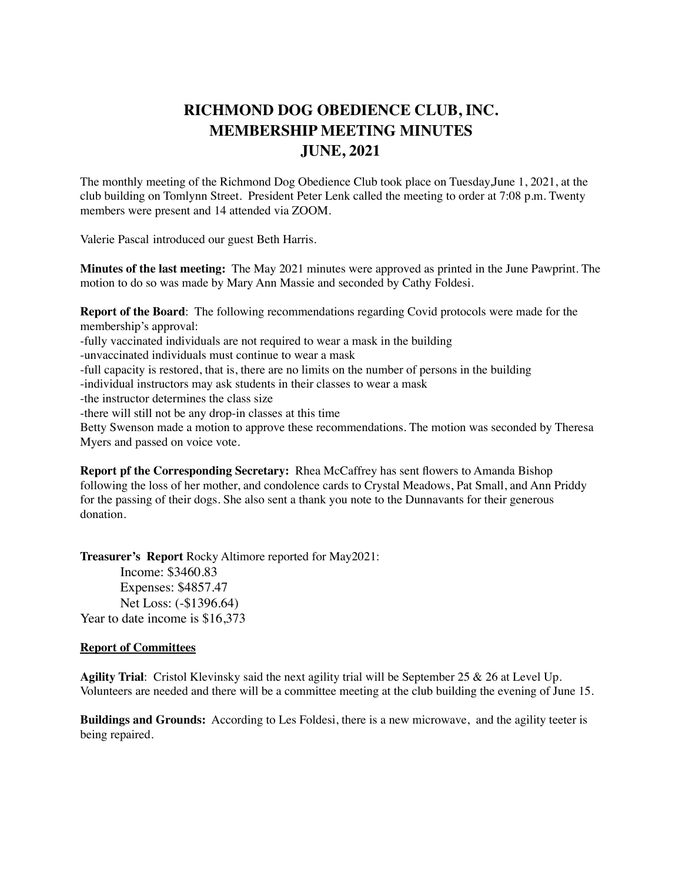## **RICHMOND DOG OBEDIENCE CLUB, INC. MEMBERSHIP MEETING MINUTES JUNE, 2021**

The monthly meeting of the Richmond Dog Obedience Club took place on Tuesday,June 1, 2021, at the club building on Tomlynn Street. President Peter Lenk called the meeting to order at 7:08 p.m. Twenty members were present and 14 attended via ZOOM.

Valerie Pascal introduced our guest Beth Harris.

**Minutes of the last meeting:** The May 2021 minutes were approved as printed in the June Pawprint. The motion to do so was made by Mary Ann Massie and seconded by Cathy Foldesi.

**Report of the Board**: The following recommendations regarding Covid protocols were made for the membership's approval:

-fully vaccinated individuals are not required to wear a mask in the building

-unvaccinated individuals must continue to wear a mask

-full capacity is restored, that is, there are no limits on the number of persons in the building

-individual instructors may ask students in their classes to wear a mask

-the instructor determines the class size

-there will still not be any drop-in classes at this time

Betty Swenson made a motion to approve these recommendations. The motion was seconded by Theresa Myers and passed on voice vote.

**Report pf the Corresponding Secretary:** Rhea McCaffrey has sent flowers to Amanda Bishop following the loss of her mother, and condolence cards to Crystal Meadows, Pat Small, and Ann Priddy for the passing of their dogs. She also sent a thank you note to the Dunnavants for their generous donation.

**Treasurer's Report** Rocky Altimore reported for May2021: Income: \$3460.83 Expenses: \$4857.47 Net Loss: (-\$1396.64) Year to date income is \$16,373

## **Report of Committees**

**Agility Trial**: Cristol Klevinsky said the next agility trial will be September 25 & 26 at Level Up. Volunteers are needed and there will be a committee meeting at the club building the evening of June 15.

**Buildings and Grounds:** According to Les Foldesi, there is a new microwave, and the agility teeter is being repaired.